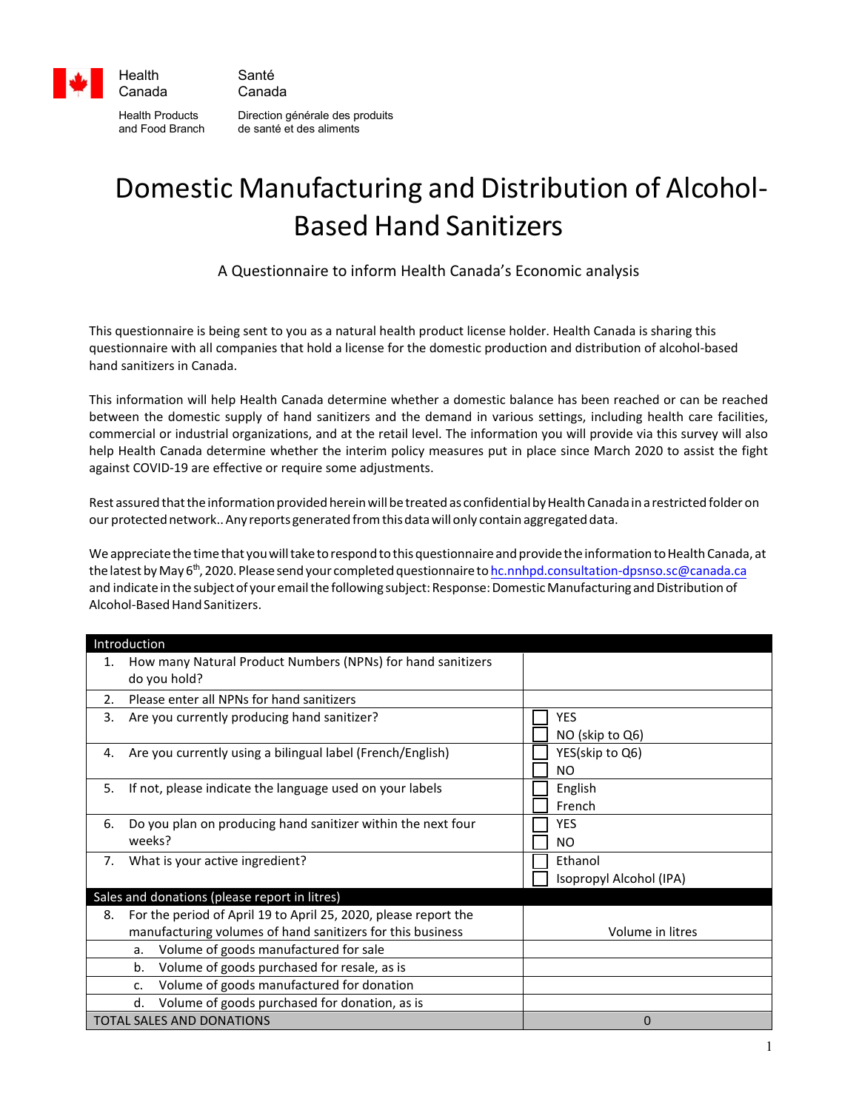

Health Products Direction générale des produits and Food Branch de santé et des aliments

## Domestic Manufacturing and Distribution of Alcohol-Based Hand Sanitizers

A Questionnaire to inform Health Canada's Economic analysis

This questionnaire is being sent to you as a natural health product license holder. Health Canada is sharing this questionnaire with all companies that hold a license for the domestic production and distribution of alcohol-based hand sanitizers in Canada.

This information will help Health Canada determine whether a domestic balance has been reached or can be reached between the domestic supply of hand sanitizers and the demand in various settings, including health care facilities, commercial or industrial organizations, and at the retail level. The information you will provide via this survey will also help Health Canada determine whether the interim policy measures put in place since March 2020 to assist the fight against COVID-19 are effective or require some adjustments.

Rest assured that the information provided herein will be treated as confidential by Health Canada in a restricted folder on our protected network.. Any reports generated from this data will only contain aggregated data.

We appreciate the time that you will take to respond to this questionnaire and provide the information to Health Canada, at the latest by May 6<sup>th</sup>, 2020. Please send your completed questionnaire [to hc.nnhpd.consultation-dpsnso.sc@canada.ca](mailto:hc.nnhpd.consultation-dpsnso.sc@canada.ca) and indicate in the subject of your email the following subject: Response: Domestic Manufacturing and Distribution of Alcohol-Based Hand Sanitizers.

| Introduction                                  |                                                                 |                         |  |  |
|-----------------------------------------------|-----------------------------------------------------------------|-------------------------|--|--|
| 1.                                            | How many Natural Product Numbers (NPNs) for hand sanitizers     |                         |  |  |
|                                               | do you hold?                                                    |                         |  |  |
| 2.                                            | Please enter all NPNs for hand sanitizers                       |                         |  |  |
| 3.                                            | Are you currently producing hand sanitizer?                     | <b>YES</b>              |  |  |
|                                               |                                                                 | NO (skip to Q6)         |  |  |
| 4.                                            | Are you currently using a bilingual label (French/English)      | YES(skip to Q6)         |  |  |
|                                               |                                                                 | NO.                     |  |  |
| 5.                                            | If not, please indicate the language used on your labels        | English                 |  |  |
|                                               |                                                                 | French                  |  |  |
| 6.                                            | Do you plan on producing hand sanitizer within the next four    | <b>YES</b>              |  |  |
|                                               | weeks?                                                          | NO.                     |  |  |
| 7.                                            | What is your active ingredient?                                 | Ethanol                 |  |  |
|                                               |                                                                 | Isopropyl Alcohol (IPA) |  |  |
| Sales and donations (please report in litres) |                                                                 |                         |  |  |
| 8.                                            | For the period of April 19 to April 25, 2020, please report the |                         |  |  |
|                                               | manufacturing volumes of hand sanitizers for this business      | Volume in litres        |  |  |
|                                               | Volume of goods manufactured for sale<br>a.                     |                         |  |  |
|                                               | Volume of goods purchased for resale, as is<br>b.               |                         |  |  |
|                                               | Volume of goods manufactured for donation<br>c.                 |                         |  |  |
|                                               | Volume of goods purchased for donation, as is<br>d.             |                         |  |  |
| <b>TOTAL SALES AND DONATIONS</b>              |                                                                 | $\Omega$                |  |  |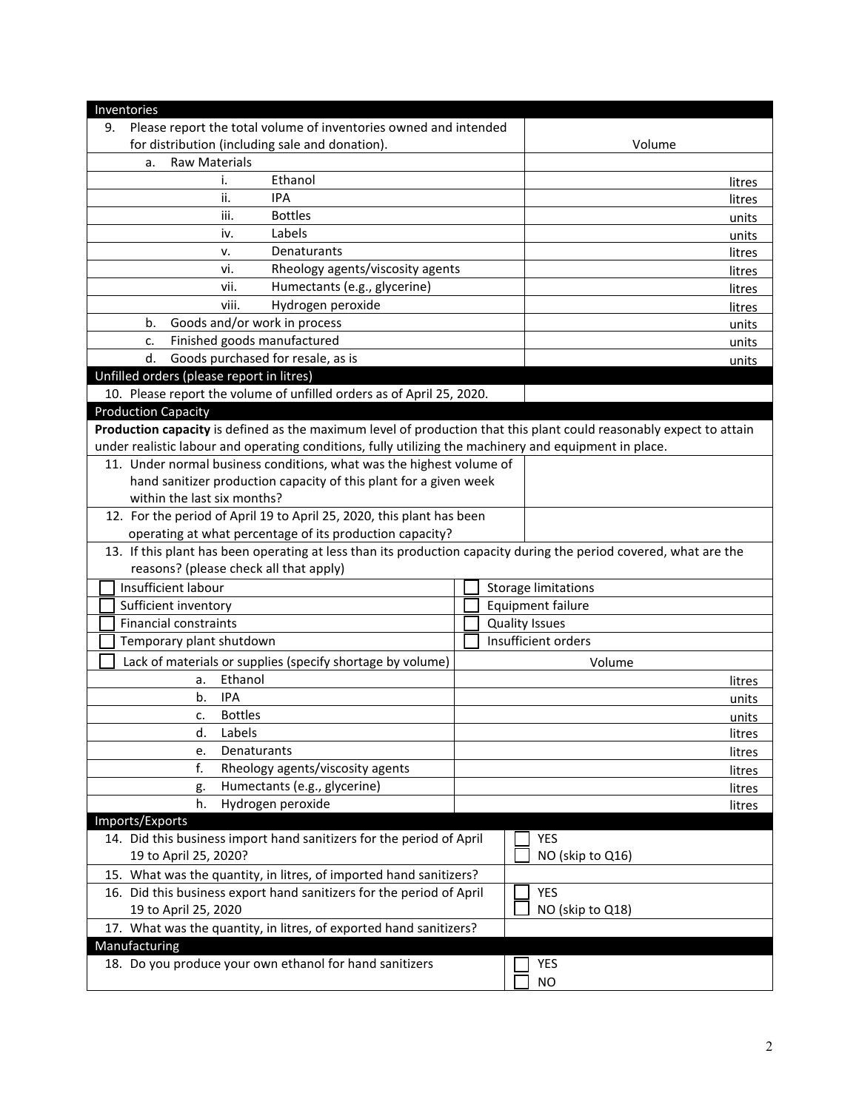| Inventories                                                                                                         |                  |                            |  |  |  |
|---------------------------------------------------------------------------------------------------------------------|------------------|----------------------------|--|--|--|
| Please report the total volume of inventories owned and intended<br>9.                                              |                  |                            |  |  |  |
| for distribution (including sale and donation).                                                                     | Volume           |                            |  |  |  |
| <b>Raw Materials</b><br>a.                                                                                          |                  |                            |  |  |  |
| Ethanol<br>i.                                                                                                       |                  | litres                     |  |  |  |
| <b>IPA</b><br>ii.                                                                                                   |                  | litres                     |  |  |  |
| <b>Bottles</b><br>iii.                                                                                              |                  | units                      |  |  |  |
| Labels<br>iv.                                                                                                       |                  | units                      |  |  |  |
| Denaturants<br>v.                                                                                                   |                  | litres                     |  |  |  |
| vi.<br>Rheology agents/viscosity agents                                                                             |                  | litres                     |  |  |  |
| Humectants (e.g., glycerine)<br>vii.                                                                                |                  | litres                     |  |  |  |
| viii.<br>Hydrogen peroxide                                                                                          |                  | litres                     |  |  |  |
| Goods and/or work in process<br>b.                                                                                  | units            |                            |  |  |  |
| Finished goods manufactured<br>c.                                                                                   |                  |                            |  |  |  |
| Goods purchased for resale, as is<br>d.                                                                             |                  |                            |  |  |  |
| Unfilled orders (please report in litres)                                                                           |                  | units                      |  |  |  |
| 10. Please report the volume of unfilled orders as of April 25, 2020.                                               |                  |                            |  |  |  |
| <b>Production Capacity</b>                                                                                          |                  |                            |  |  |  |
| Production capacity is defined as the maximum level of production that this plant could reasonably expect to attain |                  |                            |  |  |  |
| under realistic labour and operating conditions, fully utilizing the machinery and equipment in place.              |                  |                            |  |  |  |
| 11. Under normal business conditions, what was the highest volume of                                                |                  |                            |  |  |  |
| hand sanitizer production capacity of this plant for a given week                                                   |                  |                            |  |  |  |
| within the last six months?                                                                                         |                  |                            |  |  |  |
| 12. For the period of April 19 to April 25, 2020, this plant has been                                               |                  |                            |  |  |  |
| operating at what percentage of its production capacity?                                                            |                  |                            |  |  |  |
| 13. If this plant has been operating at less than its production capacity during the period covered, what are the   |                  |                            |  |  |  |
| reasons? (please check all that apply)                                                                              |                  |                            |  |  |  |
| Insufficient labour                                                                                                 |                  | <b>Storage limitations</b> |  |  |  |
| Sufficient inventory                                                                                                |                  | <b>Equipment failure</b>   |  |  |  |
| <b>Financial constraints</b>                                                                                        |                  | <b>Quality Issues</b>      |  |  |  |
| Temporary plant shutdown                                                                                            |                  | Insufficient orders        |  |  |  |
| Lack of materials or supplies (specify shortage by volume)<br>Volume                                                |                  |                            |  |  |  |
| Ethanol<br>a.                                                                                                       |                  | litres                     |  |  |  |
| <b>IPA</b><br>b.                                                                                                    |                  | units                      |  |  |  |
| <b>Bottles</b><br>c.                                                                                                |                  | units                      |  |  |  |
| d.<br>Labels                                                                                                        |                  | litres                     |  |  |  |
| Denaturants<br>e.                                                                                                   |                  | litres                     |  |  |  |
| f.<br>Rheology agents/viscosity agents                                                                              |                  | litres                     |  |  |  |
| Humectants (e.g., glycerine)<br>g.                                                                                  |                  | litres                     |  |  |  |
| Hydrogen peroxide<br>h.                                                                                             |                  | litres                     |  |  |  |
| Imports/Exports                                                                                                     |                  |                            |  |  |  |
| 14. Did this business import hand sanitizers for the period of April                                                |                  | YES                        |  |  |  |
| 19 to April 25, 2020?                                                                                               | NO (skip to Q16) |                            |  |  |  |
| 15. What was the quantity, in litres, of imported hand sanitizers?                                                  |                  |                            |  |  |  |
| 16. Did this business export hand sanitizers for the period of April<br><b>YES</b>                                  |                  |                            |  |  |  |
| 19 to April 25, 2020                                                                                                | NO (skip to Q18) |                            |  |  |  |
| 17. What was the quantity, in litres, of exported hand sanitizers?                                                  |                  |                            |  |  |  |
| Manufacturing                                                                                                       |                  |                            |  |  |  |
| 18. Do you produce your own ethanol for hand sanitizers                                                             | YES              |                            |  |  |  |
|                                                                                                                     |                  | <b>NO</b>                  |  |  |  |